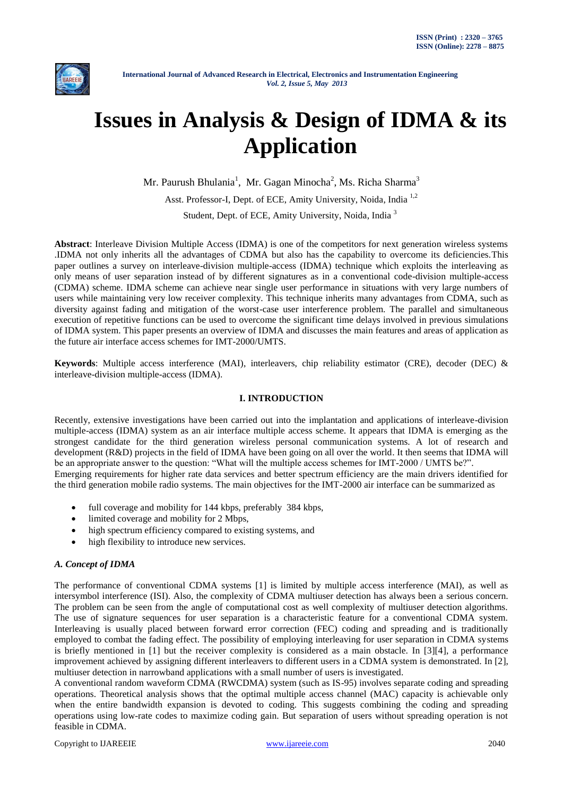

# **Issues in Analysis & Design of IDMA & its Application**

Mr. Paurush Bhulania<sup>1</sup>, Mr. Gagan Minocha<sup>2</sup>, Ms. Richa Sharma<sup>3</sup> Asst. Professor-I, Dept. of ECE, Amity University, Noida, India<sup>1,2</sup> Student, Dept. of ECE, Amity University, Noida, India<sup>3</sup>

**Abstract**: Interleave Division Multiple Access (IDMA) is one of the competitors for next generation wireless systems .IDMA not only inherits all the advantages of CDMA but also has the capability to overcome its deficiencies.This paper outlines a survey on interleave-division multiple-access (IDMA) technique which exploits the interleaving as only means of user separation instead of by different signatures as in a conventional code-division multiple-access (CDMA) scheme. IDMA scheme can achieve near single user performance in situations with very large numbers of users while maintaining very low receiver complexity. This technique inherits many advantages from CDMA, such as diversity against fading and mitigation of the worst-case user interference problem. The parallel and simultaneous execution of repetitive functions can be used to overcome the significant time delays involved in previous simulations of IDMA system. This paper presents an overview of IDMA and discusses the main features and areas of application as the future air interface access schemes for IMT-2000/UMTS.

**Keywords**: Multiple access interference (MAI), interleavers, chip reliability estimator (CRE), decoder (DEC) & interleave-division multiple-access (IDMA).

## **I. INTRODUCTION**

Recently, extensive investigations have been carried out into the implantation and applications of interleave-division multiple-access (IDMA) system as an air interface multiple access scheme. It appears that IDMA is emerging as the strongest candidate for the third generation wireless personal communication systems. A lot of research and development (R&D) projects in the field of IDMA have been going on all over the world. It then seems that IDMA will be an appropriate answer to the question: "What will the multiple access schemes for IMT-2000 / UMTS be?". Emerging requirements for higher rate data services and better spectrum efficiency are the main drivers identified for the third generation mobile radio systems. The main objectives for the IMT-2000 air interface can be summarized as

- full coverage and mobility for 144 kbps, preferably 384 kbps,
- limited coverage and mobility for 2 Mbps,
- high spectrum efficiency compared to existing systems, and
- high flexibility to introduce new services.

#### *A. Concept of IDMA*

The performance of conventional CDMA systems [1] is limited by multiple access interference (MAI), as well as intersymbol interference (ISI). Also, the complexity of CDMA multiuser detection has always been a serious concern. The problem can be seen from the angle of computational cost as well complexity of multiuser detection algorithms. The use of signature sequences for user separation is a characteristic feature for a conventional CDMA system. Interleaving is usually placed between forward error correction (FEC) coding and spreading and is traditionally employed to combat the fading effect. The possibility of employing interleaving for user separation in CDMA systems is briefly mentioned in [1] but the receiver complexity is considered as a main obstacle. In [3][4], a performance improvement achieved by assigning different interleavers to different users in a CDMA system is demonstrated. In [2], multiuser detection in narrowband applications with a small number of users is investigated.

A conventional random waveform CDMA (RWCDMA) system (such as IS-95) involves separate coding and spreading operations. Theoretical analysis shows that the optimal multiple access channel (MAC) capacity is achievable only when the entire bandwidth expansion is devoted to coding. This suggests combining the coding and spreading operations using low-rate codes to maximize coding gain. But separation of users without spreading operation is not feasible in CDMA.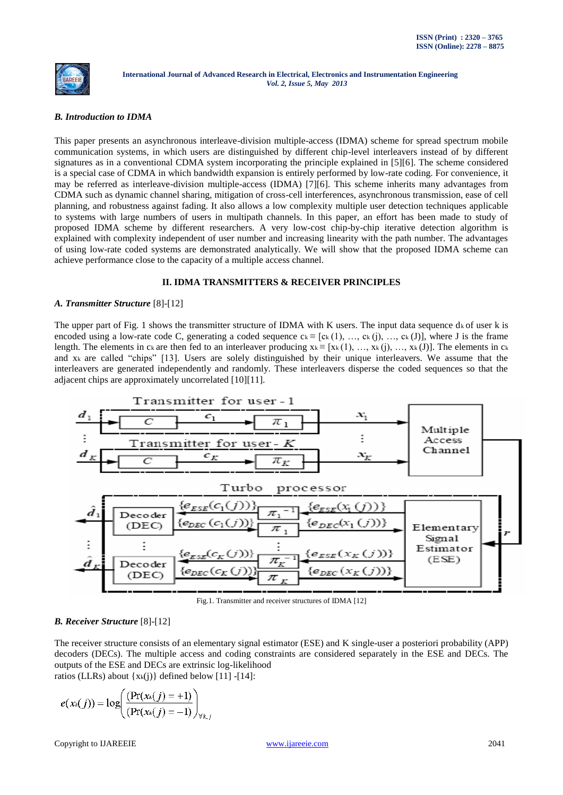

## *B. Introduction to IDMA*

This paper presents an asynchronous interleave-division multiple-access (IDMA) scheme for spread spectrum mobile communication systems, in which users are distinguished by different chip-level interleavers instead of by different signatures as in a conventional CDMA system incorporating the principle explained in [5][6]. The scheme considered is a special case of CDMA in which bandwidth expansion is entirely performed by low-rate coding. For convenience, it may be referred as interleave-division multiple-access (IDMA) [7][6]. This scheme inherits many advantages from CDMA such as dynamic channel sharing, mitigation of cross-cell interferences, asynchronous transmission, ease of cell planning, and robustness against fading. It also allows a low complexity multiple user detection techniques applicable to systems with large numbers of users in multipath channels. In this paper, an effort has been made to study of proposed IDMA scheme by different researchers. A very low-cost chip-by-chip iterative detection algorithm is explained with complexity independent of user number and increasing linearity with the path number. The advantages of using low-rate coded systems are demonstrated analytically. We will show that the proposed IDMA scheme can achieve performance close to the capacity of a multiple access channel.

# **II. IDMA TRANSMITTERS & RECEIVER PRINCIPLES**

#### *A. Transmitter Structure* [8]-[12]

The upper part of Fig. 1 shows the transmitter structure of IDMA with K users. The input data sequence  $d_k$  of user k is encoded using a low-rate code C, generating a coded sequence  $c_k \equiv [c_k (1), ..., c_k (i), ..., c_k (J)]$ , where J is the frame length. The elements in ck are then fed to an interleaver producing  $x_k = [x_k(1), ..., x_k(i), ..., x_k(J)]$ . The elements in ck and xk are called "chips" [13]. Users are solely distinguished by their unique interleavers. We assume that the interleavers are generated independently and randomly. These interleavers disperse the coded sequences so that the adjacent chips are approximately uncorrelated [10][11].



Fig.1. Transmitter and receiver structures of IDMA [12]

#### *B. Receiver Structure* [8]-[12]

The receiver structure consists of an elementary signal estimator (ESE) and K single-user a posteriori probability (APP) decoders (DECs). The multiple access and coding constraints are considered separately in the ESE and DECs. The outputs of the ESE and DECs are extrinsic log-likelihood ratios (LLRs) about  $\{x_k(i)\}\$  defined below [11] -[14]:

$$
e(x_k(j)) = \log\left(\frac{(\Pr(x_k(j) = +1))}{(\Pr(x_k(j) = -1))}\right)_{\forall k,j}
$$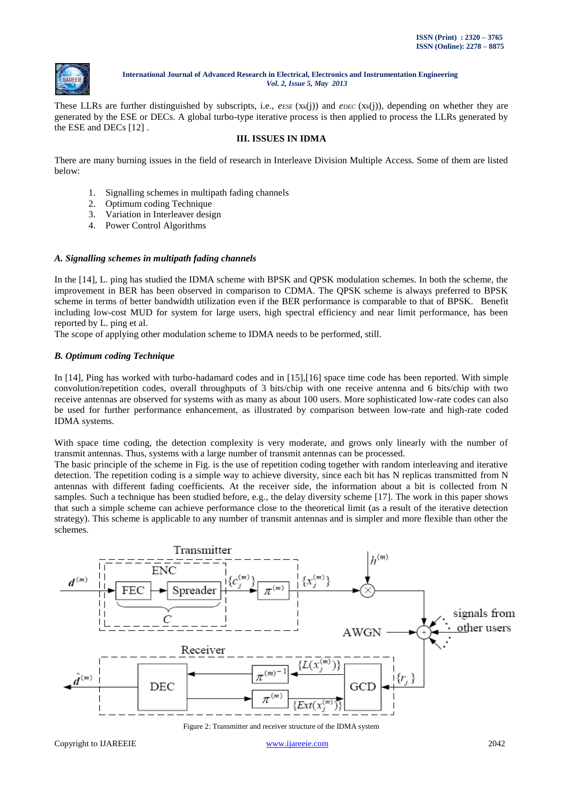

These LLRs are further distinguished by subscripts, i.e., *eESE* (xk(j)) and *eDEC* (xk(j)), depending on whether they are generated by the ESE or DECs. A global turbo-type iterative process is then applied to process the LLRs generated by the ESE and DECs [12] .

# **III. ISSUES IN IDMA**

There are many burning issues in the field of research in Interleave Division Multiple Access. Some of them are listed below:

- 1. Signalling schemes in multipath fading channels
- 2. Optimum coding Technique
- 3. Variation in Interleaver design
- 4. Power Control Algorithms

#### *A. Signalling schemes in multipath fading channels*

In the [14], L. ping has studied the IDMA scheme with BPSK and QPSK modulation schemes. In both the scheme, the improvement in BER has been observed in comparison to CDMA. The QPSK scheme is always preferred to BPSK scheme in terms of better bandwidth utilization even if the BER performance is comparable to that of BPSK. Benefit including low-cost MUD for system for large users, high spectral efficiency and near limit performance, has been reported by L. ping et al.

The scope of applying other modulation scheme to IDMA needs to be performed, still.

#### *B. Optimum coding Technique*

In [14], Ping has worked with turbo-hadamard codes and in [15],[16] space time code has been reported. With simple convolution/repetition codes, overall throughputs of 3 bits/chip with one receive antenna and 6 bits/chip with two receive antennas are observed for systems with as many as about 100 users. More sophisticated low-rate codes can also be used for further performance enhancement, as illustrated by comparison between low-rate and high-rate coded IDMA systems.

With space time coding, the detection complexity is very moderate, and grows only linearly with the number of transmit antennas. Thus, systems with a large number of transmit antennas can be processed.

The basic principle of the scheme in Fig. is the use of repetition coding together with random interleaving and iterative detection. The repetition coding is a simple way to achieve diversity, since each bit has N replicas transmitted from N antennas with different fading coefficients. At the receiver side, the information about a bit is collected from N samples. Such a technique has been studied before, e.g., the delay diversity scheme [17]. The work in this paper shows that such a simple scheme can achieve performance close to the theoretical limit (as a result of the iterative detection strategy). This scheme is applicable to any number of transmit antennas and is simpler and more flexible than other the schemes.



Figure 2: Transmitter and receiver structure of the IDMA system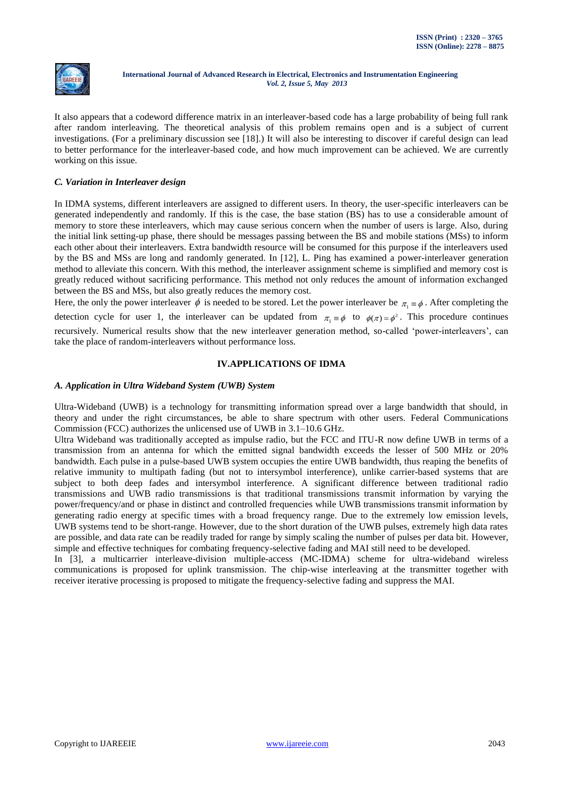

It also appears that a codeword difference matrix in an interleaver-based code has a large probability of being full rank after random interleaving. The theoretical analysis of this problem remains open and is a subject of current investigations. (For a preliminary discussion see [18].) It will also be interesting to discover if careful design can lead to better performance for the interleaver-based code, and how much improvement can be achieved. We are currently working on this issue.

## *C. Variation in Interleaver design*

In IDMA systems, different interleavers are assigned to different users. In theory, the user-specific interleavers can be generated independently and randomly. If this is the case, the base station (BS) has to use a considerable amount of memory to store these interleavers, which may cause serious concern when the number of users is large. Also, during the initial link setting-up phase, there should be messages passing between the BS and mobile stations (MSs) to inform each other about their interleavers. Extra bandwidth resource will be consumed for this purpose if the interleavers used by the BS and MSs are long and randomly generated. In [12], L. Ping has examined a power-interleaver generation method to alleviate this concern. With this method, the interleaver assignment scheme is simplified and memory cost is greatly reduced without sacrificing performance. This method not only reduces the amount of information exchanged between the BS and MSs, but also greatly reduces the memory cost.

Here, the only the power interleaver  $\phi$  is needed to be stored. Let the power interleaver be  $\pi_1 = \phi$ . After completing the detection cycle for user 1, the interleaver can be updated from  $\pi_1 \equiv \phi$  to  $\phi(\pi) = \phi^2$ . This procedure continues recursively. Numerical results show that the new interleaver generation method, so-called "power-interleavers", can take the place of random-interleavers without performance loss.

# **IV.APPLICATIONS OF IDMA**

# *A. Application in Ultra Wideband System (UWB) System*

Ultra-Wideband (UWB) is a technology for transmitting information spread over a large bandwidth that should, in theory and under the right circumstances, be able to share spectrum with other users. [Federal Communications](http://en.wikipedia.org/wiki/Federal_Communications_Commission)  [Commission](http://en.wikipedia.org/wiki/Federal_Communications_Commission) (FCC) authorizes the unlicensed use of UWB in 3.1–10.6 GHz.

Ultra Wideband was traditionally accepted as impulse radio, but the FCC and ITU-R now define UWB in terms of a transmission from an antenna for which the emitted signal bandwidth exceeds the lesser of 500 MHz or 20% bandwidth. Each pulse in a pulse-based UWB system occupies the entire UWB bandwidth, thus reaping the benefits of relative immunity to [multipath fading](http://en.wikipedia.org/wiki/Multipath) (but not to [intersymbol interference\)](http://en.wikipedia.org/wiki/Intersymbol_interference), unlike [carrier-based](http://en.wikipedia.org/wiki/Carrier_wave) systems that are subject to both deep fades and intersymbol interference. A significant difference between traditional radio transmissions and UWB radio transmissions is that traditional transmissions transmit information by varying the power/frequency/and or phase in distinct and controlled frequencies while UWB transmissions transmit information by generating radio energy at specific times with a broad frequency range. Due to the extremely low emission levels, UWB systems tend to be short-range. However, due to the short duration of the UWB pulses, extremely high data rates are possible, and data rate can be readily traded for range by simply scaling the number of pulses per data bit. However, simple and effective techniques for combating frequency-selective fading and MAI still need to be developed.

In [3], a multicarrier interleave-division multiple-access (MC-IDMA) scheme for ultra-wideband wireless communications is proposed for uplink transmission. The chip-wise interleaving at the transmitter together with receiver iterative processing is proposed to mitigate the frequency-selective fading and suppress the MAI.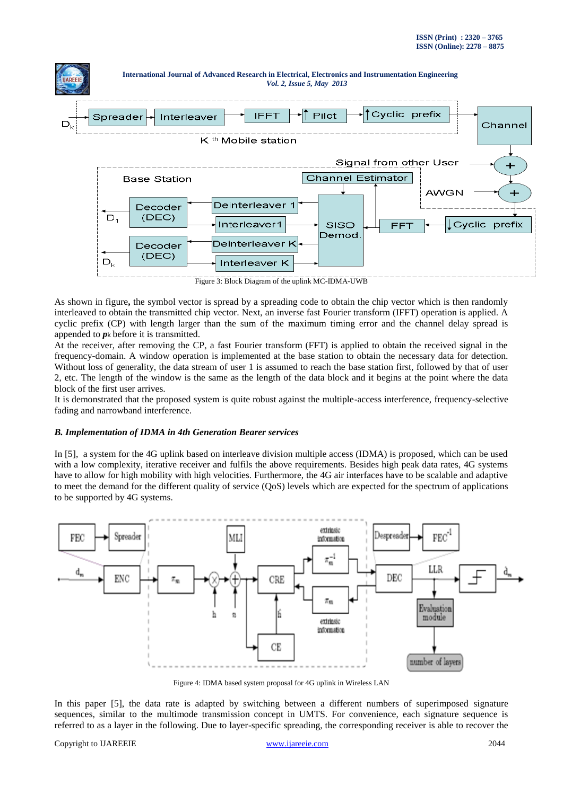

Figure 3: Block Diagram of the uplink MC-IDMA-UWB

As shown in figure**,** the symbol vector is spread by a spreading code to obtain the chip vector which is then randomly interleaved to obtain the transmitted chip vector. Next, an inverse fast Fourier transform (IFFT) operation is applied. A cyclic prefix (CP) with length larger than the sum of the maximum timing error and the channel delay spread is appended to *p*<sup>k</sup> before it is transmitted.

At the receiver, after removing the CP, a fast Fourier transform (FFT) is applied to obtain the received signal in the frequency-domain. A window operation is implemented at the base station to obtain the necessary data for detection. Without loss of generality, the data stream of user 1 is assumed to reach the base station first, followed by that of user 2, etc. The length of the window is the same as the length of the data block and it begins at the point where the data block of the first user arrives.

It is demonstrated that the proposed system is quite robust against the multiple-access interference, frequency-selective fading and narrowband interference.

#### *B. Implementation of IDMA in 4th Generation Bearer services*

In [5], a system for the 4G uplink based on interleave division multiple access (IDMA) is proposed, which can be used with a low complexity, iterative receiver and fulfils the above requirements. Besides high peak data rates, 4G systems have to allow for high mobility with high velocities. Furthermore, the 4G air interfaces have to be scalable and adaptive to meet the demand for the different quality of service (QoS) levels which are expected for the spectrum of applications to be supported by 4G systems.



Figure 4: IDMA based system proposal for 4G uplink in Wireless LAN

In this paper [5], the data rate is adapted by switching between a different numbers of superimposed signature sequences, similar to the multimode transmission concept in UMTS. For convenience, each signature sequence is referred to as a layer in the following. Due to layer-specific spreading, the corresponding receiver is able to recover the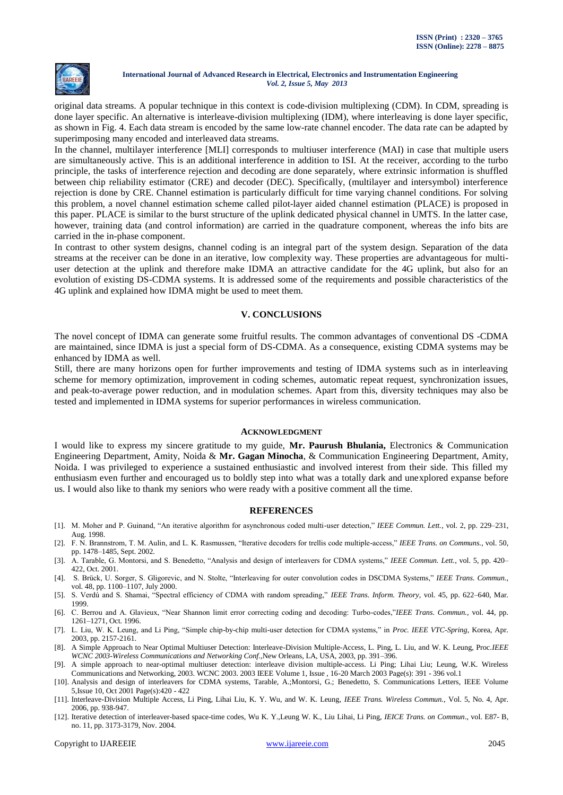

original data streams. A popular technique in this context is code-division multiplexing (CDM). In CDM, spreading is done layer specific. An alternative is interleave-division multiplexing (IDM), where interleaving is done layer specific, as shown in Fig. 4. Each data stream is encoded by the same low-rate channel encoder. The data rate can be adapted by superimposing many encoded and interleaved data streams.

In the channel, multilayer interference [MLI] corresponds to multiuser interference (MAI) in case that multiple users are simultaneously active. This is an additional interference in addition to ISI. At the receiver, according to the turbo principle, the tasks of interference rejection and decoding are done separately, where extrinsic information is shuffled between chip reliability estimator (CRE) and decoder (DEC). Specifically, (multilayer and intersymbol) interference rejection is done by CRE. Channel estimation is particularly difficult for time varying channel conditions. For solving this problem, a novel channel estimation scheme called pilot-layer aided channel estimation (PLACE) is proposed in this paper. PLACE is similar to the burst structure of the uplink dedicated physical channel in UMTS. In the latter case, however, training data (and control information) are carried in the quadrature component, whereas the info bits are carried in the in-phase component.

In contrast to other system designs, channel coding is an integral part of the system design. Separation of the data streams at the receiver can be done in an iterative, low complexity way. These properties are advantageous for multiuser detection at the uplink and therefore make IDMA an attractive candidate for the 4G uplink, but also for an evolution of existing DS-CDMA systems. It is addressed some of the requirements and possible characteristics of the 4G uplink and explained how IDMA might be used to meet them.

#### **V. CONCLUSIONS**

The novel concept of IDMA can generate some fruitful results. The common advantages of conventional DS -CDMA are maintained, since IDMA is just a special form of DS-CDMA. As a consequence, existing CDMA systems may be enhanced by IDMA as well.

Still, there are many horizons open for further improvements and testing of IDMA systems such as in interleaving scheme for memory optimization, improvement in coding schemes, automatic repeat request, synchronization issues, and peak-to-average power reduction, and in modulation schemes. Apart from this, diversity techniques may also be tested and implemented in IDMA systems for superior performances in wireless communication.

#### **ACKNOWLEDGMENT**

I would like to express my sincere gratitude to my guide, **Mr. Paurush Bhulania,** Electronics & Communication Engineering Department, Amity, Noida & **Mr. Gagan Minocha**, & Communication Engineering Department, Amity, Noida. I was privileged to experience a sustained enthusiastic and involved interest from their side. This filled my enthusiasm even further and encouraged us to boldly step into what was a totally dark and unexplored expanse before us. I would also like to thank my seniors who were ready with a positive comment all the time.

#### **REFERENCES**

- [1]. M. Moher and P. Guinand, "An iterative algorithm for asynchronous coded multi-user detection," *IEEE Commun. Lett.*, vol. 2, pp. 229–231, Aug. 1998.
- [2]. F. N. Brannstrom, T. M. Aulin, and L. K. Rasmussen, "Iterative decoders for trellis code multiple-access," *IEEE Trans. on Communs.*, vol. 50, pp. 1478–1485, Sept. 2002.
- [3]. A. Tarable, G. Montorsi, and S. Benedetto, "Analysis and design of interleavers for CDMA systems," *IEEE Commun. Lett.*, vol. 5, pp. 420– 422, Oct. 2001.
- [4]. S. Brück, U. Sorger, S. Gligorevic, and N. Stolte, "Interleaving for outer convolution codes in DSCDMA Systems," *IEEE Trans. Commun.*, vol. 48, pp. 1100–1107, July 2000.
- [5]. S. Verdú and S. Shamai, "Spectral efficiency of CDMA with random spreading," *IEEE Trans. Inform. Theory*, vol. 45, pp. 622–640, Mar. 1999.
- [6]. C. Berrou and A. Glavieux, "Near Shannon limit error correcting coding and decoding: Turbo-codes,"*IEEE Trans. Commun.*, vol. 44, pp. 1261–1271, Oct. 1996.
- [7]. L. Liu, W. K. Leung, and Li Ping, "Simple chip-by-chip multi-user detection for CDMA systems," in *Proc. IEEE VTC-Spring*, Korea, Apr. 2003, pp. 2157-2161.
- [8]. A Simple Approach to Near Optimal Multiuser Detection: Interleave-Division Multiple-Access, L. Ping, L. Liu, and W. K. Leung, Proc.*IEEE WCNC 2003-Wireless Communications and Networking Conf.*,New Orleans, LA, USA, 2003, pp. 391–396.
- [9]. A simple approach to near-optimal multiuser detection: interleave division multiple-access. Li Ping; Lihai Liu; Leung, W.K. Wireless Communications and Networking, 2003. WCNC 2003. 2003 IEEE Volume 1, Issue , 16-20 March 2003 Page(s): 391 - 396 vol.1
- [10]. Analysis and design of interleavers for CDMA systems, Tarable, A.;Montorsi, G.; Benedetto, S. Communications Letters, IEEE Volume 5,Issue 10, Oct 2001 Page(s):420 - 422
- [11]. Interleave-Division Multiple Access, Li Ping, Lihai Liu, K. Y. Wu, and W. K. Leung, *IEEE Trans. Wireless Commun.,* Vol. 5, No. 4, Apr. 2006, pp. 938-947.
- [12]. Iterative detection of interleaver-based space-time codes, Wu K. Y.,Leung W. K., Liu Lihai, Li Ping, *IEICE Trans. on Commun*., vol. E87- B, no. 11, pp. 3173-3179, Nov. 2004.